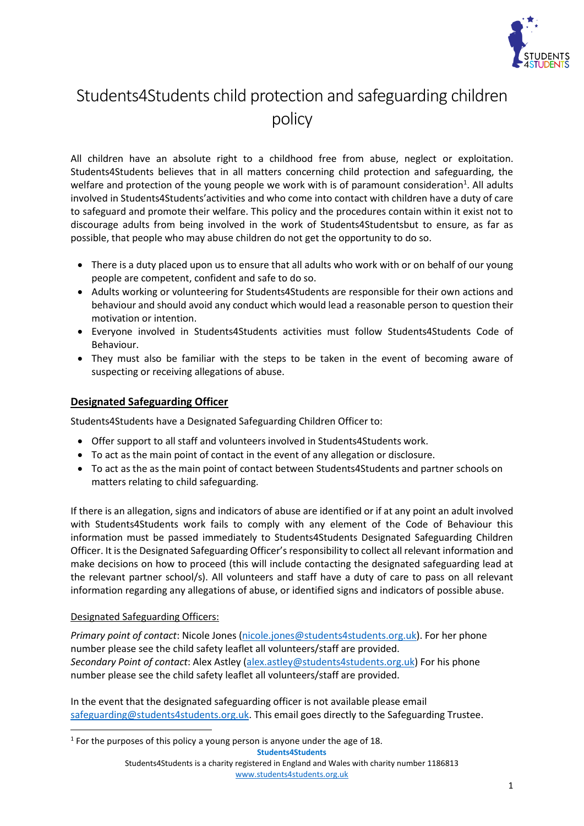

# Students4Students child protection and safeguarding children policy

All children have an absolute right to a childhood free from abuse, neglect or exploitation. Students4Students believes that in all matters concerning child protection and safeguarding, the welfare and protection of the young people we work with is of paramount consideration<sup>1</sup>. All adults involved in Students4Students'activities and who come into contact with children have a duty of care to safeguard and promote their welfare. This policy and the procedures contain within it exist not to discourage adults from being involved in the work of Students4Studentsbut to ensure, as far as possible, that people who may abuse children do not get the opportunity to do so.

- There is a duty placed upon us to ensure that all adults who work with or on behalf of our young people are competent, confident and safe to do so.
- Adults working or volunteering for Students4Students are responsible for their own actions and behaviour and should avoid any conduct which would lead a reasonable person to question their motivation or intention.
- Everyone involved in Students4Students activities must follow Students4Students Code of Behaviour.
- They must also be familiar with the steps to be taken in the event of becoming aware of suspecting or receiving allegations of abuse.

# **Designated Safeguarding Officer**

Students4Students have a Designated Safeguarding Children Officer to:

- Offer support to all staff and volunteers involved in Students4Students work.
- To act as the main point of contact in the event of any allegation or disclosure.
- To act as the as the main point of contact between Students4Students and partner schools on matters relating to child safeguarding.

If there is an allegation, signs and indicators of abuse are identified or if at any point an adult involved with Students4Students work fails to comply with any element of the Code of Behaviour this information must be passed immediately to Students4Students Designated Safeguarding Children Officer. It is the Designated Safeguarding Officer's responsibility to collect all relevant information and make decisions on how to proceed (this will include contacting the designated safeguarding lead at the relevant partner school/s). All volunteers and staff have a duty of care to pass on all relevant information regarding any allegations of abuse, or identified signs and indicators of possible abuse.

#### Designated Safeguarding Officers:

*Primary point of contact*: Nicole Jones [\(nicole.jones@students4students.org.uk\)](mailto:nicole.jones@students4students.org.uk). For her phone number please see the child safety leaflet all volunteers/staff are provided. *Secondary Point of contact*: Alex Astley [\(alex.astley@students4students.org.uk\)](mailto:alex.astley@students4students.org.uk) For his phone number please see the child safety leaflet all volunteers/staff are provided.

In the event that the designated safeguarding officer is not available please email [safeguarding@students4students.org.uk.](mailto:safeguarding@students4students.org.uk) This email goes directly to the Safeguarding Trustee.

**Students4Students**

 $<sup>1</sup>$  For the purposes of this policy a young person is anyone under the age of 18.</sup>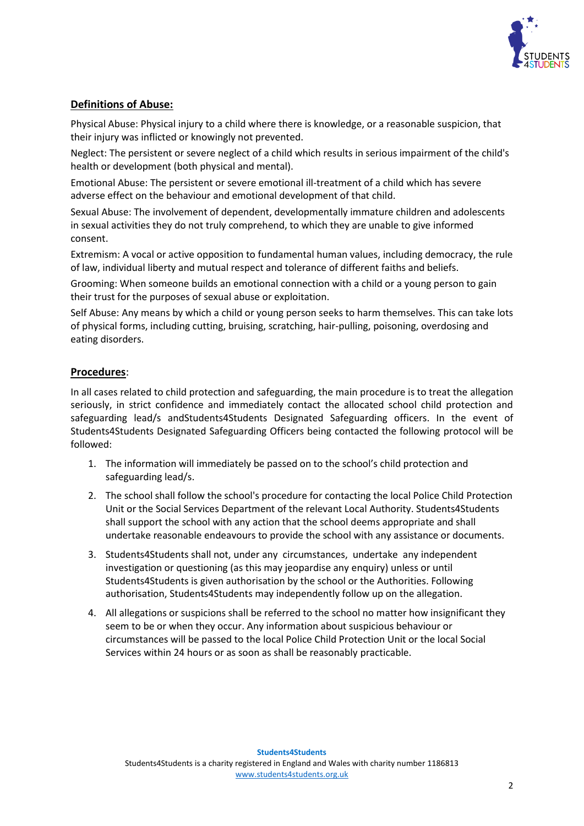

## **Definitions of Abuse:**

Physical Abuse: Physical injury to a child where there is knowledge, or a reasonable suspicion, that their injury was inflicted or knowingly not prevented.

Neglect: The persistent or severe neglect of a child which results in serious impairment of the child's health or development (both physical and mental).

Emotional Abuse: The persistent or severe emotional ill-treatment of a child which has severe adverse effect on the behaviour and emotional development of that child.

Sexual Abuse: The involvement of dependent, developmentally immature children and adolescents in sexual activities they do not truly comprehend, to which they are unable to give informed consent.

Extremism: A vocal or active opposition to fundamental human values, including democracy, the rule of law, individual liberty and mutual respect and tolerance of different faiths and beliefs.

Grooming: When someone builds an emotional connection with a child or a young person to gain their trust for the purposes of sexual abuse or exploitation.

Self Abuse: Any means by which a child or young person seeks to harm themselves. This can take lots of physical forms, including cutting, bruising, scratching, hair-pulling, poisoning, overdosing and eating disorders.

#### **Procedures**:

In all cases related to child protection and safeguarding, the main procedure is to treat the allegation seriously, in strict confidence and immediately contact the allocated school child protection and safeguarding lead/s andStudents4Students Designated Safeguarding officers. In the event of Students4Students Designated Safeguarding Officers being contacted the following protocol will be followed:

- 1. The information will immediately be passed on to the school's child protection and safeguarding lead/s.
- 2. The school shall follow the school's procedure for contacting the local Police Child Protection Unit or the Social Services Department of the relevant Local Authority. Students4Students shall support the school with any action that the school deems appropriate and shall undertake reasonable endeavours to provide the school with any assistance or documents.
- 3. Students4Students shall not, under any circumstances, undertake any independent investigation or questioning (as this may jeopardise any enquiry) unless or until Students4Students is given authorisation by the school or the Authorities. Following authorisation, Students4Students may independently follow up on the allegation.
- 4. All allegations or suspicions shall be referred to the school no matter how insignificant they seem to be or when they occur. Any information about suspicious behaviour or circumstances will be passed to the local Police Child Protection Unit or the local Social Services within 24 hours or as soon as shall be reasonably practicable.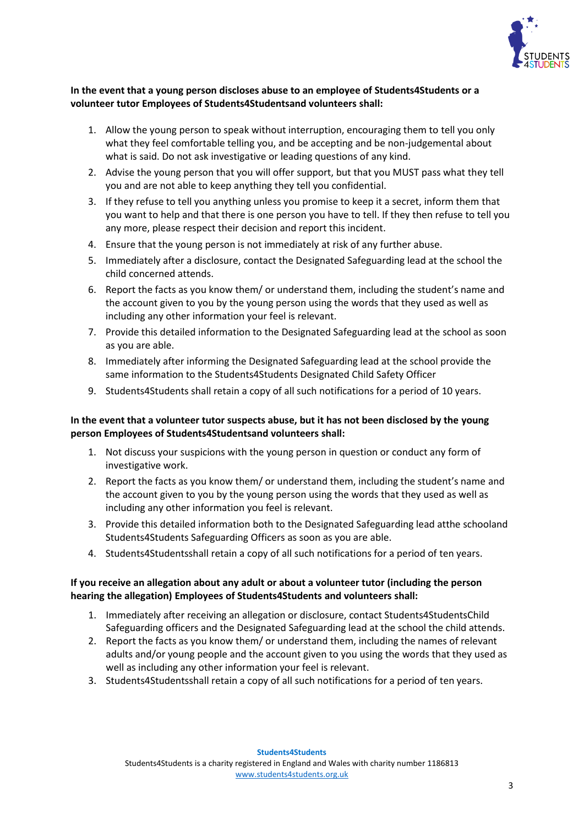

#### **In the event that a young person discloses abuse to an employee of Students4Students or a volunteer tutor Employees of Students4Studentsand volunteers shall:**

- 1. Allow the young person to speak without interruption, encouraging them to tell you only what they feel comfortable telling you, and be accepting and be non-judgemental about what is said. Do not ask investigative or leading questions of any kind.
- 2. Advise the young person that you will offer support, but that you MUST pass what they tell you and are not able to keep anything they tell you confidential.
- 3. If they refuse to tell you anything unless you promise to keep it a secret, inform them that you want to help and that there is one person you have to tell. If they then refuse to tell you any more, please respect their decision and report this incident.
- 4. Ensure that the young person is not immediately at risk of any further abuse.
- 5. Immediately after a disclosure, contact the Designated Safeguarding lead at the school the child concerned attends.
- 6. Report the facts as you know them/ or understand them, including the student's name and the account given to you by the young person using the words that they used as well as including any other information your feel is relevant.
- 7. Provide this detailed information to the Designated Safeguarding lead at the school as soon as you are able.
- 8. Immediately after informing the Designated Safeguarding lead at the school provide the same information to the Students4Students Designated Child Safety Officer
- 9. Students4Students shall retain a copy of all such notifications for a period of 10 years.

#### **In the event that a volunteer tutor suspects abuse, but it has not been disclosed by the young person Employees of Students4Studentsand volunteers shall:**

- 1. Not discuss your suspicions with the young person in question or conduct any form of investigative work.
- 2. Report the facts as you know them/ or understand them, including the student's name and the account given to you by the young person using the words that they used as well as including any other information you feel is relevant.
- 3. Provide this detailed information both to the Designated Safeguarding lead atthe schooland Students4Students Safeguarding Officers as soon as you are able.
- 4. Students4Studentsshall retain a copy of all such notifications for a period of ten years.

#### **If you receive an allegation about any adult or about a volunteer tutor (including the person hearing the allegation) Employees of Students4Students and volunteers shall:**

- 1. Immediately after receiving an allegation or disclosure, contact Students4StudentsChild Safeguarding officers and the Designated Safeguarding lead at the school the child attends.
- 2. Report the facts as you know them/ or understand them, including the names of relevant adults and/or young people and the account given to you using the words that they used as well as including any other information your feel is relevant.
- 3. Students4Studentsshall retain a copy of all such notifications for a period of ten years.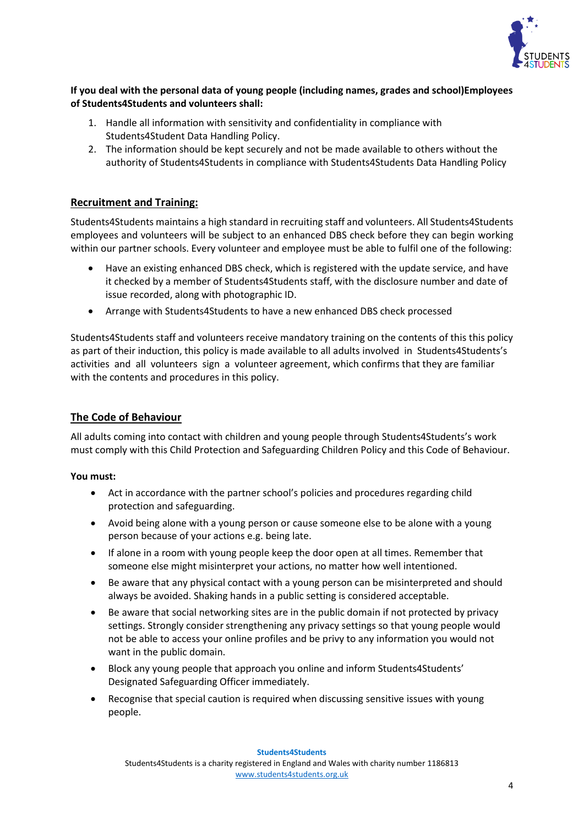

#### **If you deal with the personal data of young people (including names, grades and school)Employees of Students4Students and volunteers shall:**

- 1. Handle all information with sensitivity and confidentiality in compliance with Students4Student Data Handling Policy.
- 2. The information should be kept securely and not be made available to others without the authority of Students4Students in compliance with Students4Students Data Handling Policy

## **Recruitment and Training:**

Students4Students maintains a high standard in recruiting staff and volunteers. All Students4Students employees and volunteers will be subject to an enhanced DBS check before they can begin working within our partner schools. Every volunteer and employee must be able to fulfil one of the following:

- Have an existing enhanced DBS check, which is registered with the update service, and have it checked by a member of Students4Students staff, with the disclosure number and date of issue recorded, along with photographic ID.
- Arrange with Students4Students to have a new enhanced DBS check processed

Students4Students staff and volunteers receive mandatory training on the contents of this this policy as part of their induction, this policy is made available to all adults involved in Students4Students's activities and all volunteers sign a volunteer agreement, which confirms that they are familiar with the contents and procedures in this policy.

## **The Code of Behaviour**

All adults coming into contact with children and young people through Students4Students's work must comply with this Child Protection and Safeguarding Children Policy and this Code of Behaviour.

#### **You must:**

- Act in accordance with the partner school's policies and procedures regarding child protection and safeguarding.
- Avoid being alone with a young person or cause someone else to be alone with a young person because of your actions e.g. being late.
- If alone in a room with young people keep the door open at all times. Remember that someone else might misinterpret your actions, no matter how well intentioned.
- Be aware that any physical contact with a young person can be misinterpreted and should always be avoided. Shaking hands in a public setting is considered acceptable.
- Be aware that social networking sites are in the public domain if not protected by privacy settings. Strongly consider strengthening any privacy settings so that young people would not be able to access your online profiles and be privy to any information you would not want in the public domain.
- Block any young people that approach you online and inform Students4Students' Designated Safeguarding Officer immediately.
- Recognise that special caution is required when discussing sensitive issues with young people.